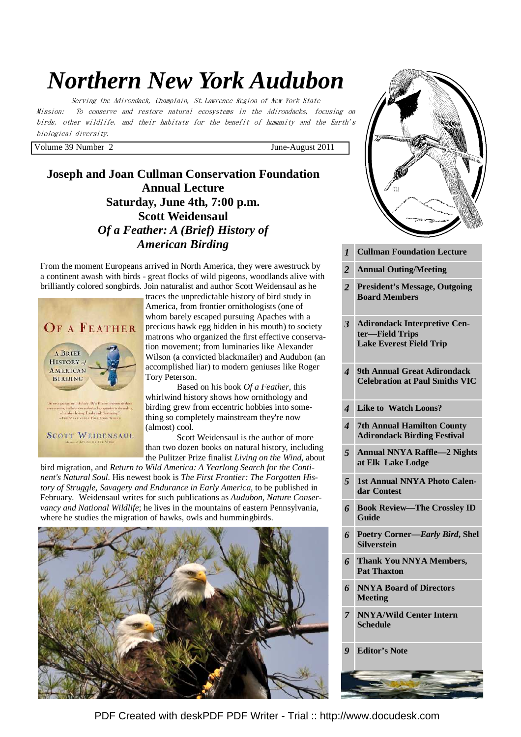# *Northern New York Audubon*

Serving the Adirondack, Champlain, St.Lawrence Region of New York State Mission: To conserve and restore natural ecosystems in the Adirondacks, focusing on birds, other wildlife, and their habitats for the benefit of humanity and the Earth's biological diversity.

Volume 39 Number 2 June-August 2011

**Joseph and Joan Cullman Conservation Foundation Annual Lecture Saturday, June 4th, 7:00 p.m. Scott Weidensaul**  *Of a Feather: A (Brief) History of American Birding*

From the moment Europeans arrived in North America, they were awestruck by a continent awash with birds - great flocks of wild pigeons, woodlands alive with brilliantly colored songbirds. Join naturalist and author Scott Weidensaul as he



traces the unpredictable history of bird study in America, from frontier ornithologists (one of whom barely escaped pursuing Apaches with a precious hawk egg hidden in his mouth) to society matrons who organized the first effective conservation movement; from luminaries like Alexander Wilson (a convicted blackmailer) and Audubon (an accomplished liar) to modern geniuses like Roger Tory Peterson.

 Based on his book *Of a Feather*, this whirlwind history shows how ornithology and birding grew from eccentric hobbies into something so completely mainstream they're now (almost) cool.

 Scott Weidensaul is the author of more than two dozen books on natural history, including the Pulitzer Prize finalist *Living on the Wind*, about

bird migration, and *Return to Wild America: A Yearlong Search for the Continent's Natural Soul.* His newest book is *The First Frontier: The Forgotten History of Struggle, Savagery and Endurance in Early America*, to be published in February. Weidensaul writes for such publications as *Audubon, Nature Conservancy and National Wildlife*; he lives in the mountains of eastern Pennsylvania, where he studies the migration of hawks, owls and hummingbirds.





- *3* **Adirondack Interpretive Center—Field Trips Lake Everest Field Trip**
- *4* **9th Annual Great Adirondack Celebration at Paul Smiths VIC**
- *4* **Like to Watch Loons?**
- *4* **7th Annual Hamilton County Adirondack Birding Festival**
- *5* **Annual NNYA Raffle—2 Nights at Elk Lake Lodge**
- *5* **1st Annual NNYA Photo Calendar Contest**
- *6* **Book Review—The Crossley ID Guide**
- *6* **Poetry Corner—***Early Bird***, Shel Silverstein**
- *6* **Thank You NNYA Members, Pat Thaxton**
- *6* **NNYA Board of Directors Meeting**
- *7* **NNYA/Wild Center Intern Schedule**

*9* **Editor's Note** 

[PDF Created with deskPDF PDF Writer - Trial :: http://www.docudesk.com](http://www.docudesk.com)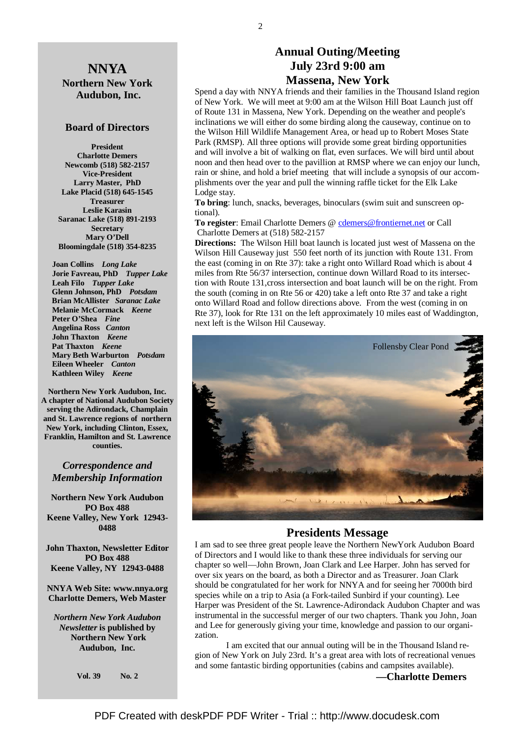## **NNYA Northern New York Audubon, Inc.**

#### **Board of Directors**

**President Charlotte Demers Newcomb (518) 582-2157 Vice-President Larry Master, PhD Lake Placid (518) 645-1545 Treasurer Leslie Karasin Saranac Lake (518) 891-2193 Secretary Mary O'Dell Bloomingdale (518) 354-8235** 

 **Joan Collins** *Long Lake*   **Jorie Favreau, PhD** *Tupper Lake*  **Leah Filo** *Tupper Lake*  **Glenn Johnson, PhD** *Potsdam*   **Brian McAllister** *Saranac Lake*   **Melanie McCormack** *Keene*   **Peter O'Shea** *Fine*   **Angelina Ross** *Canton* **John Thaxton** *Keene* **Pat Thaxton** *Keene*   **Mary Beth Warburton** *Potsdam*   **Eileen Wheeler** *Canton* **Kathleen Wiley** *Keene* 

**Northern New York Audubon, Inc. A chapter of National Audubon Society serving the Adirondack, Champlain and St. Lawrence regions of northern New York, including Clinton, Essex, Franklin, Hamilton and St. Lawrence counties.** 

### *Correspondence and Membership Information*

**Northern New York Audubon PO Box 488 Keene Valley, New York 12943- 0488** 

**John Thaxton, Newsletter Editor PO Box 488 Keene Valley, NY 12943-0488** 

**NNYA Web Site: www.nnya.org Charlotte Demers, Web Master**

*Northern New York Audubon Newsletter* **is published by Northern New York Audubon, Inc.** 

**Vol. 39 No. 2** 

## **Annual Outing/Meeting July 23rd 9:00 am Massena, New York**

Spend a day with NNYA friends and their families in the Thousand Island region of New York. We will meet at 9:00 am at the Wilson Hill Boat Launch just off of Route 131 in Massena, New York. Depending on the weather and people's inclinations we will either do some birding along the causeway, continue on to the Wilson Hill Wildlife Management Area, or head up to Robert Moses State Park (RMSP). All three options will provide some great birding opportunities and will involve a bit of walking on flat, even surfaces. We will bird until about noon and then head over to the pavillion at RMSP where we can enjoy our lunch, rain or shine, and hold a brief meeting that will include a synopsis of our accomplishments over the year and pull the winning raffle ticket for the Elk Lake Lodge stay.

**To bring**: lunch, snacks, beverages, binoculars (swim suit and sunscreen optional).

To register: Email Charlotte Demers @ cdemers@frontiernet.net or Call Charlotte Demers at (518) 582-2157

**Directions:** The Wilson Hill boat launch is located just west of Massena on the Wilson Hill Causeway just 550 feet north of its junction with Route 131. From the east (coming in on Rte 37): take a right onto Willard Road which is about 4 miles from Rte 56/37 intersection, continue down Willard Road to its intersection with Route 131,cross intersection and boat launch will be on the right. From the south (coming in on Rte 56 or 420) take a left onto Rte 37 and take a right onto Willard Road and follow directions above. From the west (coming in on Rte 37), look for Rte 131 on the left approximately 10 miles east of Waddington, next left is the Wilson Hil Causeway.



#### **Presidents Message**

I am sad to see three great people leave the Northern NewYork Audubon Board of Directors and I would like to thank these three individuals for serving our chapter so well—John Brown, Joan Clark and Lee Harper. John has served for over six years on the board, as both a Director and as Treasurer. Joan Clark should be congratulated for her work for NNYA and for seeing her 7000th bird species while on a trip to Asia (a Fork-tailed Sunbird if your counting). Lee Harper was President of the St. Lawrence-Adirondack Audubon Chapter and was instrumental in the successful merger of our two chapters. Thank you John, Joan and Lee for generously giving your time, knowledge and passion to our organization.

 I am excited that our annual outing will be in the Thousand Island region of New York on July 23rd. It's a great area with lots of recreational venues and some fantastic birding opportunities (cabins and campsites available).

**—Charlotte Demers**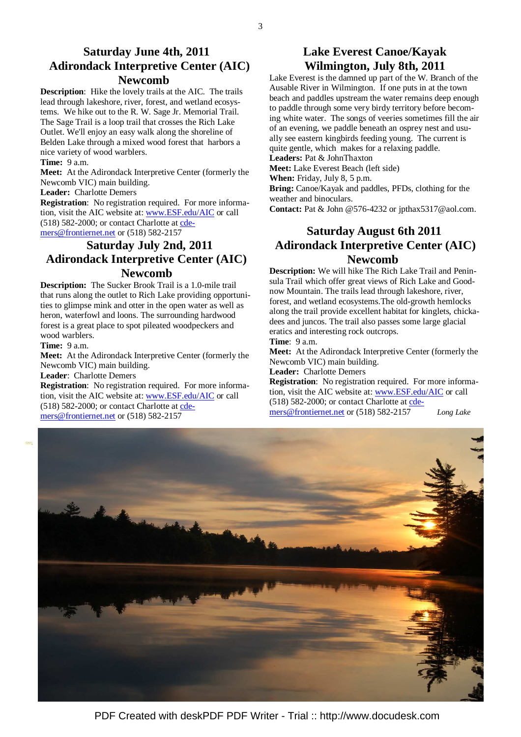## **Saturday June 4th, 2011 Adirondack Interpretive Center (AIC) Newcomb**

**Description**: Hike the lovely trails at the AIC. The trails lead through lakeshore, river, forest, and wetland ecosystems. We hike out to the R. W. Sage Jr. Memorial Trail. The Sage Trail is a loop trail that crosses the Rich Lake Outlet. We'll enjoy an easy walk along the shoreline of Belden Lake through a mixed wood forest that harbors a nice variety of wood warblers.

#### **Time:** 9 a.m.

**Meet:** At the Adirondack Interpretive Center (formerly the Newcomb VIC) main building.

**Leader:** Charlotte Demers

**Registration**: No registration required. For more information, visit the AIC website at: www.ESF.edu/AIC or call  $(518)$  582-2000; or contact Charlotte at  $cde-$ </u> mers@frontiernet.net or (518) 582-2157

# **Saturday July 2nd, 2011 Adirondack Interpretive Center (AIC) Newcomb**

**Description:** The Sucker Brook Trail is a 1.0-mile trail that runs along the outlet to Rich Lake providing opportunities to glimpse mink and otter in the open water as well as heron, waterfowl and loons. The surrounding hardwood forest is a great place to spot pileated woodpeckers and wood warblers.

**Time:** 9 a.m.

**Meet:** At the Adirondack Interpretive Center (formerly the Newcomb VIC) main building.

**Leader**: Charlotte Demers

**Registration**: No registration required. For more information, visit the AIC website at: www.ESF.edu/AIC or call (518) 582-2000; or contact Charlotte at cdemers@frontiernet.net or (518) 582-2157

# **Lake Everest Canoe/Kayak Wilmington, July 8th, 2011**

Lake Everest is the damned up part of the W. Branch of the Ausable River in Wilmington. If one puts in at the town beach and paddles upstream the water remains deep enough to paddle through some very birdy territory before becoming white water. The songs of veeries sometimes fill the air of an evening, we paddle beneath an osprey nest and usually see eastern kingbirds feeding young. The current is quite gentle, which makes for a relaxing paddle.

#### **Leaders:** Pat & JohnThaxton

**Meet:** Lake Everest Beach (left side)

**When:** Friday, July 8, 5 p.m.

**Bring:** Canoe/Kayak and paddles, PFDs, clothing for the weather and binoculars.

**Contact:** Pat & John @576-4232 or jpthax5317@aol.com.

# **Saturday August 6th 2011 Adirondack Interpretive Center (AIC) Newcomb**

**Description:** We will hike The Rich Lake Trail and Peninsula Trail which offer great views of Rich Lake and Goodnow Mountain. The trails lead through lakeshore, river, forest, and wetland ecosystems.The old-growth hemlocks along the trail provide excellent habitat for kinglets, chickadees and juncos. The trail also passes some large glacial eratics and interesting rock outcrops.

**Time**: 9 a.m.

**Meet:** At the Adirondack Interpretive Center (formerly the Newcomb VIC) main building.

**Leader:** Charlotte Demers

**Registration**: No registration required. For more information, visit the AIC website at: www.ESF.edu/AIC or call (518) 582-2000; or contact Charlotte at cde-

mers@frontiernet.net or (518) 582-2157 *Long Lake*

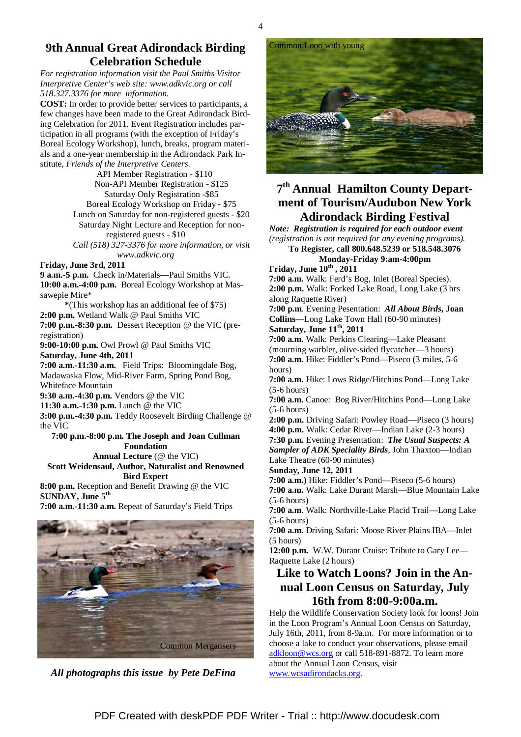### **9th Annual Great Adirondack Birding Celebration Schedule**

*For registration information visit the Paul Smiths Visitor Interpretive Center's web site: www.adkvic.org or call 518.327.3376 for more information.* 

**COST:** In order to provide better services to participants, a few changes have been made to the Great Adirondack Birding Celebration for 2011. Event Registration includes participation in all programs (with the exception of Friday's Boreal Ecology Workshop), lunch, breaks, program materials and a one-year membership in the Adirondack Park Institute, *Friends of the Interpretive Centers*.

> API Member Registration - \$110 Non-API Member Registration - \$125 Saturday Only Registration -\$85 Boreal Ecology Workshop on Friday - \$75 Lunch on Saturday for non-registered guests - \$20 Saturday Night Lecture and Reception for nonregistered guests - \$10 *Call (518) 327-3376 for more information, or visit www.adkvic.org*

**Friday, June 3rd, 2011** 

**9 a.m.-5 p.m.** Check in/Materials**—**Paul Smiths VIC. **10:00 a.m.-4:00 p.m.** Boreal Ecology Workshop at Massawepie Mire\*

**\***(This workshop has an additional fee of \$75) **2:00 p.m.** Wetland Walk @ Paul Smiths VIC **7:00 p.m.-8:30 p.m.** Dessert Reception @ the VIC (preregistration)

**9:00-10:00 p.m.** Owl Prowl @ Paul Smiths VIC **Saturday, June 4th, 2011** 

**7:00 a.m.-11:30 a.m.** Field Trips: Bloomingdale Bog, Madawaska Flow, Mid-River Farm, Spring Pond Bog, Whiteface Mountain

**9:30 a.m.-4:30 p.m.** Vendors @ the VIC

**11:30 a.m.-1:30 p.m.** Lunch @ the VIC

**3:00 p.m.-4:30 p.m.** Teddy Roosevelt Birding Challenge @ the VIC

#### **7:00 p.m.-8:00 p.m. The Joseph and Joan Cullman Foundation Annual Lecture** (@ the VIC)

**Scott Weidensaul, Author, Naturalist and Renowned Bird Expert** 

**8:00 p.m.** Reception and Benefit Drawing @ the VIC **SUNDAY, June 5th**

**7:00 a.m.-11:30 a.m.** Repeat of Saturday's Field Trips



 *All photographs this issue by Pete DeFina* 



# **7 th Annual Hamilton County Department of Tourism/Audubon New York Adirondack Birding Festival**

*Note: Registration is required for each outdoor event (registration is not required for any evening programs).* 

**To Register, call 800.648.5239 or 518.548.3076 Monday-Friday 9:am-4:00pm**

**Friday, June 10th , 2011**

**7:00 a.m.** Walk: Ferd's Bog, Inlet (Boreal Species). **2:00 p.m.** Walk: Forked Lake Road, Long Lake (3 hrs along Raquette River)

**7:00 p.m**. Evening Pesentation: *All About Birds***, Joan Collins**—Long Lake Town Hall (60-90 minutes) **Saturday, June 11th, 2011** 

**7:00 a.m.** Walk: Perkins Clearing—Lake Pleasant (mourning warbler, olive-sided flycatcher—3 hours) **7:00 a.m.** Hike: Fiddler's Pond—Piseco (3 miles, 5-6 hours)

**7:00 a.m.** Hike: Lows Ridge/Hitchins Pond—Long Lake (5-6 hours)

**7:00 a.m.** Canoe: Bog River/Hitchins Pond—Long Lake (5-6 hours)

**2:00 p.m.** Driving Safari: Powley Road—Piseco (3 hours) **4:00 p.m.** Walk: Cedar River—Indian Lake (2-3 hours)

**7:30 p.m.** Evening Presentation: *The Usual Suspects: A Sampler of ADK Speciality Birds,* John Thaxton—Indian Lake Theatre (60-90 minutes)

**Sunday, June 12, 2011** 

**7:00 a.m.)** Hike: Fiddler's Pond—Piseco (5-6 hours) **7:00 a.m.** Walk: Lake Durant Marsh—Blue Mountain Lake (5-6 hours)

**7:00 a.m**. Walk: Northville-Lake Placid Trail—Long Lake (5-6 hours)

**7:00 a.m.** Driving Safari: Moose River Plains IBA—Inlet (5 hours)

**12:00 p.m.** W.W. Durant Cruise: Tribute to Gary Lee— Raquette Lake (2 hours)

# **Like to Watch Loons? Join in the Annual Loon Census on Saturday, July 16th from 8:00-9:00a.m.**

Help the Wildlife Conservation Society look for loons! Join in the Loon Program's Annual Loon Census on Saturday, July 16th, 2011, from 8-9a.m. For more information or to choose a lake to conduct your observations, please email adkloon@wcs.org or call 518-891-8872. To learn more about the Annual Loon Census, visit www.wcsadirondacks.org.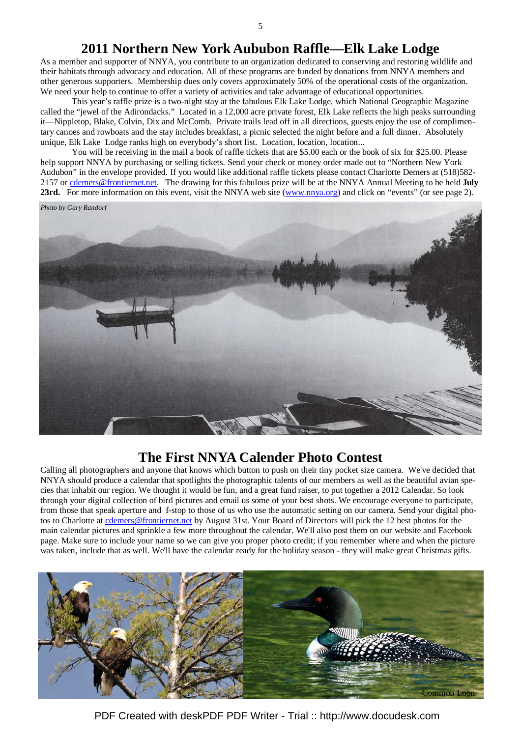# **2011 Northern New York Aububon Raffle—Elk Lake Lodge**

As a member and supporter of NNYA, you contribute to an organization dedicated to conserving and restoring wildlife and their habitats through advocacy and education. All of these programs are funded by donations from NNYA members and other generous supporters. Membership dues only covers approximately 50% of the operational costs of the organization. We need your help to continue to offer a variety of activities and take advantage of educational opportunities.

 This year's raffle prize is a two-night stay at the fabulous Elk Lake Lodge, which National Geographic Magazine called the "jewel of the Adirondacks." Located in a 12,000 acre private forest, Elk Lake reflects the high peaks surrounding it—Nippletop, Blake, Colvin, Dix and McComb. Private trails lead off in all directions, guests enjoy the use of complimentary canoes and rowboats and the stay includes breakfast, a picnic selected the night before and a full dinner. Absolutely unique, Elk Lake Lodge ranks high on everybody's short list. Location, location, location...

 You will be receiving in the mail a book of raffle tickets that are \$5.00 each or the book of six for \$25.00. Please help support NNYA by purchasing or selling tickets. Send your check or money order made out to "Northern New York Audubon" in the envelope provided. If you would like additional raffle tickets please contact Charlotte Demers at (518)582- 2157 or cdemers@frontiernet.net. The drawing for this fabulous prize will be at the NNYA Annual Meeting to be held **July 23rd.** For more information on this event, visit the NNYA web site (www.nnya.org) and click on "events" (or see page 2).



# **The First NNYA Calender Photo Contest**

Calling all photographers and anyone that knows which button to push on their tiny pocket size camera. We've decided that NNYA should produce a calendar that spotlights the photographic talents of our members as well as the beautiful avian species that inhabit our region. We thought it would be fun, and a great fund raiser, to put together a 2012 Calendar. So look through your digital collection of bird pictures and email us some of your best shots. We encourage everyone to participate, from those that speak aperture and f-stop to those of us who use the automatic setting on our camera. Send your digital photos to Charlotte at cdemers@frontiernet.net by August 31st. Your Board of Directors will pick the 12 best photos for the main calendar pictures and sprinkle a few more throughout the calendar. We'll also post them on our website and Facebook page. Make sure to include your name so we can give you proper photo credit; if you remember where and when the picture was taken, include that as well. We'll have the calendar ready for the holiday season - they will make great Christmas gifts.



PDF Created with deskPDF PDF Writer - Trial :: http://www.docudesk.com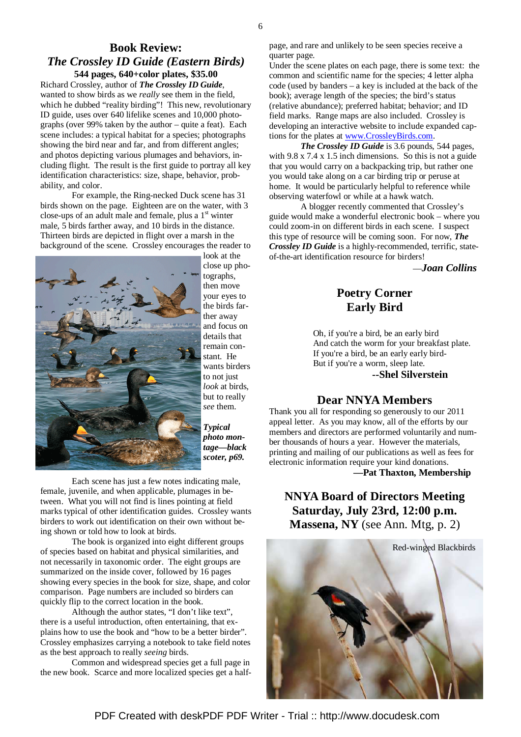### **Book Review:**  *The Crossley ID Guide (Eastern Birds)*  **544 pages, 640+color plates, \$35.00**

Richard Crossley, author of *The Crossley ID Guide*, wanted to show birds as we *really* see them in the field, which he dubbed "reality birding"! This new, revolutionary ID guide, uses over 640 lifelike scenes and 10,000 photographs (over 99% taken by the author – quite a feat). Each scene includes: a typical habitat for a species; photographs showing the bird near and far, and from different angles; and photos depicting various plumages and behaviors, including flight. The result is the first guide to portray all key identification characteristics: size, shape, behavior, probability, and color.

 For example, the Ring-necked Duck scene has 31 birds shown on the page. Eighteen are on the water, with 3 close-ups of an adult male and female, plus a  $1<sup>st</sup>$  winter male, 5 birds farther away, and 10 birds in the distance. Thirteen birds are depicted in flight over a marsh in the background of the scene. Crossley encourages the reader to



look at the close up photographs, then move your eyes to the birds farther away and focus on details that remain constant. He wants birders to not just *look* at birds, but to really *see* them.

*Typical photo montage—black scoter, p69.* 

 Each scene has just a few notes indicating male, female, juvenile, and when applicable, plumages in between. What you will not find is lines pointing at field marks typical of other identification guides. Crossley wants birders to work out identification on their own without being shown or told how to look at birds.

 The book is organized into eight different groups of species based on habitat and physical similarities, and not necessarily in taxonomic order. The eight groups are summarized on the inside cover, followed by 16 pages showing every species in the book for size, shape, and color comparison. Page numbers are included so birders can quickly flip to the correct location in the book.

 Although the author states, "I don't like text", there is a useful introduction, often entertaining, that explains how to use the book and "how to be a better birder". Crossley emphasizes carrying a notebook to take field notes as the best approach to really *seeing* birds.

 Common and widespread species get a full page in the new book. Scarce and more localized species get a halfpage, and rare and unlikely to be seen species receive a quarter page.

Under the scene plates on each page, there is some text: the common and scientific name for the species; 4 letter alpha code (used by banders – a key is included at the back of the book); average length of the species; the bird's status (relative abundance); preferred habitat; behavior; and ID field marks. Range maps are also included. Crossley is developing an interactive website to include expanded captions for the plates at www.CrossleyBirds.com.

 *The Crossley ID Guide* is 3.6 pounds, 544 pages, with 9.8 x 7.4 x 1.5 inch dimensions. So this is not a guide that you would carry on a backpacking trip, but rather one you would take along on a car birding trip or peruse at home. It would be particularly helpful to reference while observing waterfowl or while at a hawk watch.

 A blogger recently commented that Crossley's guide would make a wonderful electronic book – where you could zoom-in on different birds in each scene. I suspect this type of resource will be coming soon. For now, *The Crossley ID Guide* is a highly-recommended, terrific, stateof-the-art identification resource for birders!

—*Joan Collins* 

# **Poetry Corner Early Bird**

 Oh, if you're a bird, be an early bird And catch the worm for your breakfast plate. If you're a bird, be an early early bird- But if you're a worm, sleep late.

 **--Shel Silverstein** 

### **Dear NNYA Members**

Thank you all for responding so generously to our 2011 appeal letter. As you may know, all of the efforts by our members and directors are performed voluntarily and number thousands of hours a year. However the materials, printing and mailing of our publications as well as fees for electronic information require your kind donations.

**—Pat Thaxton, Membership** 

# **NNYA Board of Directors Meeting Saturday, July 23rd, 12:00 p.m. Massena, NY** (see Ann. Mtg, p. 2)



PDF Created with deskPDF PDF Writer - Trial :: http://www.docudesk.com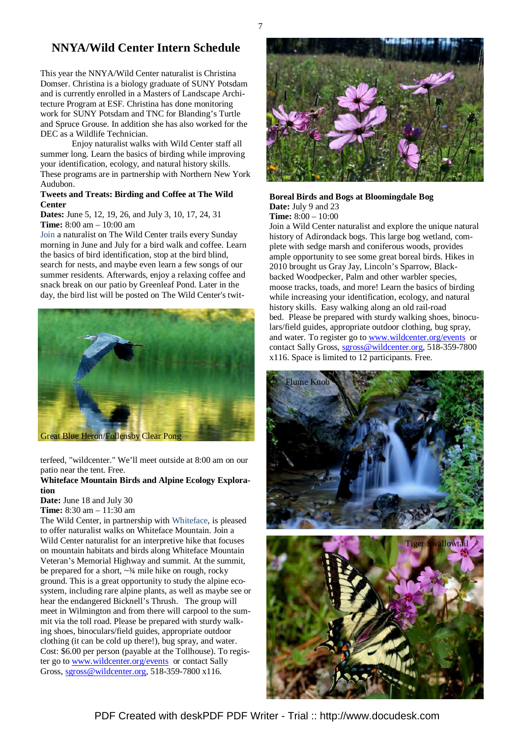## **NNYA/Wild Center Intern Schedule**

This year the NNYA/Wild Center naturalist is Christina Domser. Christina is a biology graduate of SUNY Potsdam and is currently enrolled in a Masters of Landscape Architecture Program at ESF. Christina has done monitoring work for SUNY Potsdam and TNC for Blanding's Turtle and Spruce Grouse. In addition she has also worked for the DEC as a Wildlife Technician.

 Enjoy naturalist walks with Wild Center staff all summer long. Learn the basics of birding while improving your identification, ecology, and natural history skills. These programs are in partnership with Northern New York Audubon.

#### **Tweets and Treats: Birding and Coffee at The Wild Center**

**Dates:** June 5, 12, 19, 26, and July 3, 10, 17, 24, 31 **Time:** 8:00 am – 10:00 am

Join a naturalist on The Wild Center trails every Sunday morning in June and July for a bird walk and coffee. Learn the basics of bird identification, stop at the bird blind, search for nests, and maybe even learn a few songs of our summer residents. Afterwards, enjoy a relaxing coffee and snack break on our patio by Greenleaf Pond. Later in the day, the bird list will be posted on The Wild Center's twit-



terfeed, "wildcenter." We'll meet outside at 8:00 am on our patio near the tent. Free.

#### **Whiteface Mountain Birds and Alpine Ecology Exploration**

**Date:** June 18 and July 30

**Time:** 8:30 am – 11:30 am

The Wild Center, in partnership with Whiteface, is pleased to offer naturalist walks on Whiteface Mountain. Join a Wild Center naturalist for an interpretive hike that focuses on mountain habitats and birds along Whiteface Mountain Veteran's Memorial Highway and summit. At the summit, be prepared for a short,  $\sim$ <sup>3</sup>/<sub>4</sub> mile hike on rough, rocky ground. This is a great opportunity to study the alpine ecosystem, including rare alpine plants, as well as maybe see or hear the endangered Bicknell's Thrush. The group will meet in Wilmington and from there will carpool to the summit via the toll road. Please be prepared with sturdy walking shoes, binoculars/field guides, appropriate outdoor clothing (it can be cold up there!), bug spray, and water. Cost: \$6.00 per person (payable at the Tollhouse). To register go to www.wildcenter.org/events or contact Sally Gross, sgross@wildcenter.org, 518-359-7800 x116.



#### **Boreal Birds and Bogs at Bloomingdale Bog Date:** July 9 and 23 **Time:** 8:00 – 10:00

Join a Wild Center naturalist and explore the unique natural history of Adirondack bogs. This large bog wetland, complete with sedge marsh and coniferous woods, provides ample opportunity to see some great boreal birds. Hikes in 2010 brought us Gray Jay, Lincoln's Sparrow, Blackbacked Woodpecker, Palm and other warbler species, moose tracks, toads, and more! Learn the basics of birding while increasing your identification, ecology, and natural history skills. Easy walking along an old rail-road bed. Please be prepared with sturdy walking shoes, binoculars/field guides, appropriate outdoor clothing, bug spray, and water. To register go to www.wildcenter.org/events or contact Sally Gross, sgross@wildcenter.org, 518-359-7800 x116. Space is limited to 12 participants. Free.





PDF Created with deskPDF PDF Writer - Trial :: http://www.docudesk.com